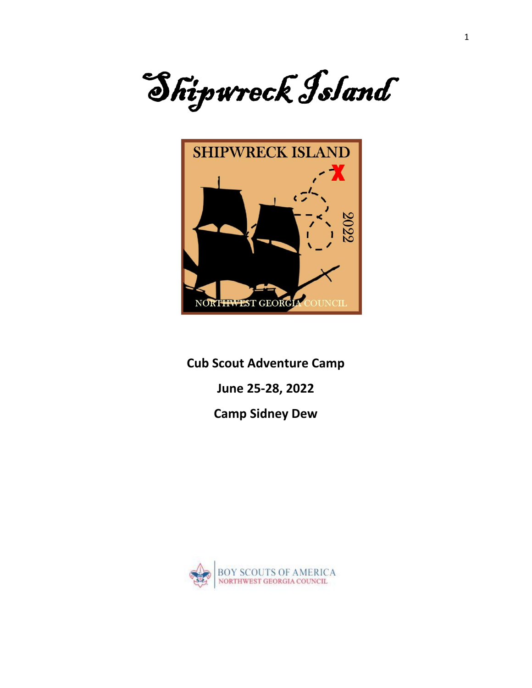



**Cub Scout Adventure Camp**

**June 25-28, 2022**

**Camp Sidney Dew**

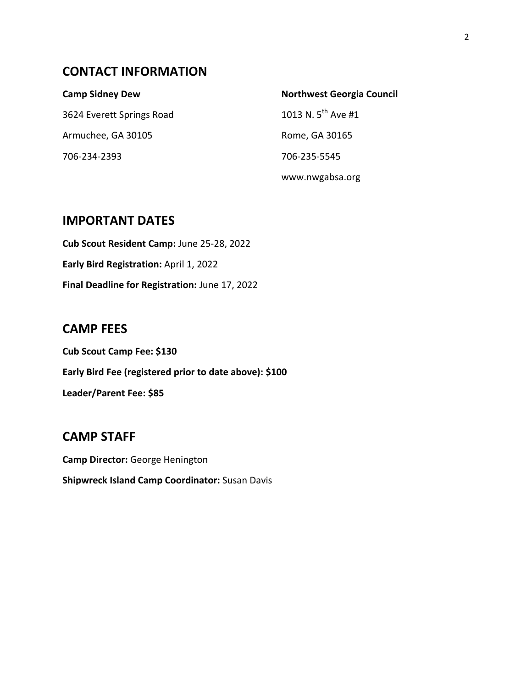# **CONTACT INFORMATION**

| <b>Camp Sidney Dew</b>    | <b>Northwest Georgia Council</b> |
|---------------------------|----------------------------------|
| 3624 Everett Springs Road | 1013 N. $5^{th}$ Ave #1          |
| Armuchee, GA 30105        | Rome, GA 30165                   |
| 706-234-2393              | 706-235-5545                     |
|                           | www.nwgabsa.org                  |

## **IMPORTANT DATES**

**Cub Scout Resident Camp:** June 25-28, 2022 **Early Bird Registration:** April 1, 2022 **Final Deadline for Registration:** June 17, 2022

## **CAMP FEES**

**Cub Scout Camp Fee: \$130 Early Bird Fee (registered prior to date above): \$100 Leader/Parent Fee: \$85**

## **CAMP STAFF**

**Camp Director:** George Henington **Shipwreck Island Camp Coordinator:** Susan Davis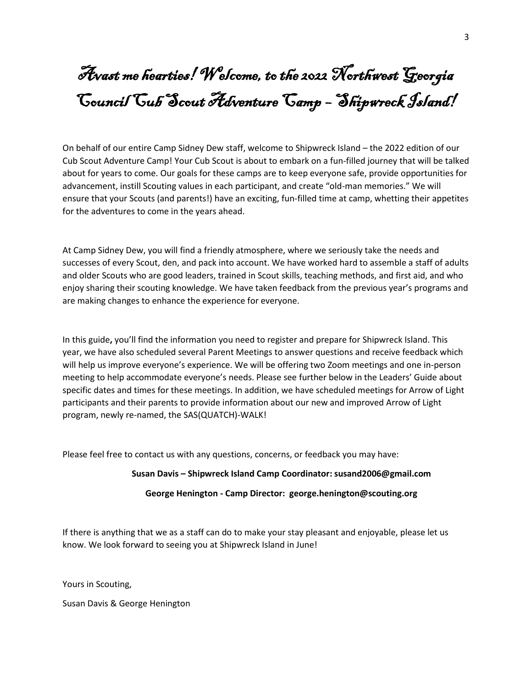# Avast me hearties! Welcome, to the 2022 Northwest Georgia Council Cub Scout Adventure Camp – Shipwreck Island!

On behalf of our entire Camp Sidney Dew staff, welcome to Shipwreck Island – the 2022 edition of our Cub Scout Adventure Camp! Your Cub Scout is about to embark on a fun-filled journey that will be talked about for years to come. Our goals for these camps are to keep everyone safe, provide opportunities for advancement, instill Scouting values in each participant, and create "old-man memories." We will ensure that your Scouts (and parents!) have an exciting, fun-filled time at camp, whetting their appetites for the adventures to come in the years ahead.

At Camp Sidney Dew, you will find a friendly atmosphere, where we seriously take the needs and successes of every Scout, den, and pack into account. We have worked hard to assemble a staff of adults and older Scouts who are good leaders, trained in Scout skills, teaching methods, and first aid, and who enjoy sharing their scouting knowledge. We have taken feedback from the previous year's programs and are making changes to enhance the experience for everyone.

In this guide**,** you'll find the information you need to register and prepare for Shipwreck Island. This year, we have also scheduled several Parent Meetings to answer questions and receive feedback which will help us improve everyone's experience. We will be offering two Zoom meetings and one in-person meeting to help accommodate everyone's needs. Please see further below in the Leaders' Guide about specific dates and times for these meetings. In addition, we have scheduled meetings for Arrow of Light participants and their parents to provide information about our new and improved Arrow of Light program, newly re-named, the SAS(QUATCH)-WALK!

Please feel free to contact us with any questions, concerns, or feedback you may have:

#### **Susan Davis – Shipwreck Island Camp Coordinator: [susand2006@gmail.com](mailto:susand2006@gmail.com)**

#### **George Henington - Camp Director: george.henington@scouting.org**

If there is anything that we as a staff can do to make your stay pleasant and enjoyable, please let us know. We look forward to seeing you at Shipwreck Island in June!

Yours in Scouting,

Susan Davis & George Henington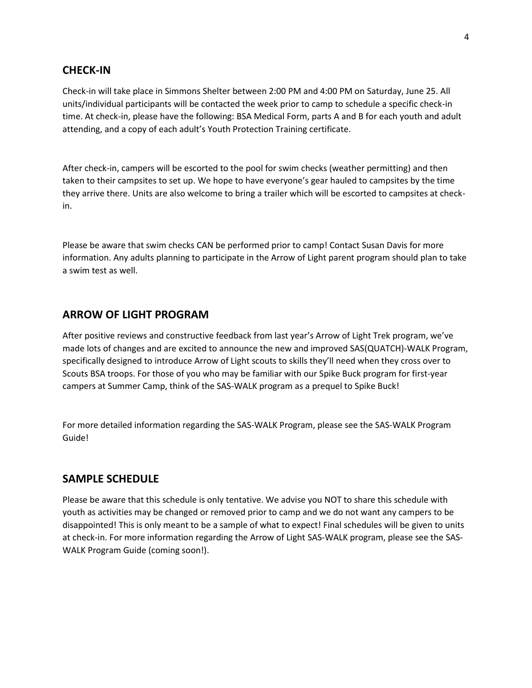#### **CHECK-IN**

Check-in will take place in Simmons Shelter between 2:00 PM and 4:00 PM on Saturday, June 25. All units/individual participants will be contacted the week prior to camp to schedule a specific check-in time. At check-in, please have the following: BSA Medical Form, parts A and B for each youth and adult attending, and a copy of each adult's Youth Protection Training certificate.

After check-in, campers will be escorted to the pool for swim checks (weather permitting) and then taken to their campsites to set up. We hope to have everyone's gear hauled to campsites by the time they arrive there. Units are also welcome to bring a trailer which will be escorted to campsites at checkin.

Please be aware that swim checks CAN be performed prior to camp! Contact Susan Davis for more information. Any adults planning to participate in the Arrow of Light parent program should plan to take a swim test as well.

#### **ARROW OF LIGHT PROGRAM**

After positive reviews and constructive feedback from last year's Arrow of Light Trek program, we've made lots of changes and are excited to announce the new and improved SAS(QUATCH)-WALK Program, specifically designed to introduce Arrow of Light scouts to skills they'll need when they cross over to Scouts BSA troops. For those of you who may be familiar with our Spike Buck program for first-year campers at Summer Camp, think of the SAS-WALK program as a prequel to Spike Buck!

For more detailed information regarding the SAS-WALK Program, please see the SAS-WALK Program Guide!

#### **SAMPLE SCHEDULE**

Please be aware that this schedule is only tentative. We advise you NOT to share this schedule with youth as activities may be changed or removed prior to camp and we do not want any campers to be disappointed! This is only meant to be a sample of what to expect! Final schedules will be given to units at check-in. For more information regarding the Arrow of Light SAS-WALK program, please see the SAS-WALK Program Guide (coming soon!).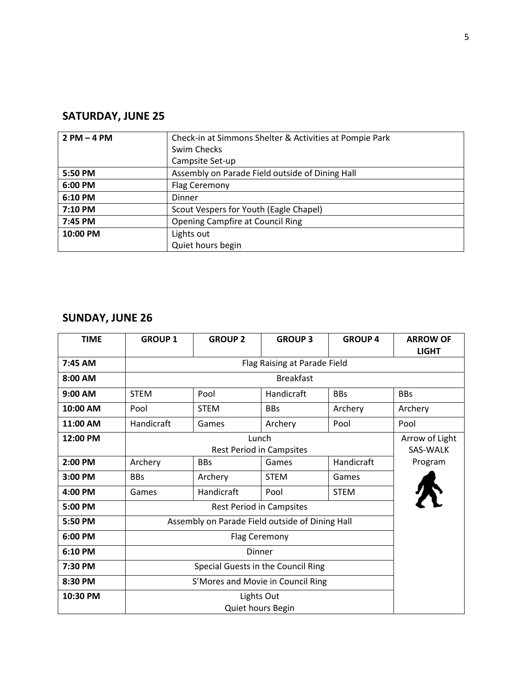# **SATURDAY, JUNE 25**

| $2 PM - 4 PM$ | Check-in at Simmons Shelter & Activities at Pompie Park |  |
|---------------|---------------------------------------------------------|--|
|               | Swim Checks                                             |  |
|               | Campsite Set-up                                         |  |
| 5:50 PM       | Assembly on Parade Field outside of Dining Hall         |  |
| 6:00 PM       | Flag Ceremony                                           |  |
| 6:10 PM       | Dinner                                                  |  |
| 7:10 PM       | Scout Vespers for Youth (Eagle Chapel)                  |  |
| 7:45 PM       | <b>Opening Campfire at Council Ring</b>                 |  |
| 10:00 PM      | Lights out                                              |  |
|               | Quiet hours begin                                       |  |

# **SUNDAY, JUNE 26**

| <b>TIME</b> | <b>GROUP 1</b> | <b>GROUP 2</b>                                  | <b>GROUP 3</b> | <b>GROUP 4</b> | <b>ARROW OF</b><br><b>LIGHT</b>   |
|-------------|----------------|-------------------------------------------------|----------------|----------------|-----------------------------------|
| 7:45 AM     |                | Flag Raising at Parade Field                    |                |                |                                   |
| 8:00 AM     |                | <b>Breakfast</b>                                |                |                |                                   |
| 9:00 AM     | <b>STEM</b>    | Pool                                            | Handicraft     | <b>BBs</b>     | <b>BBs</b>                        |
| 10:00 AM    | Pool           | <b>STEM</b>                                     | <b>BBs</b>     | Archery        | Archery                           |
| 11:00 AM    | Handicraft     | Games                                           | Archery        | Pool           | Pool                              |
| 12:00 PM    |                | Lunch<br><b>Rest Period in Campsites</b>        |                |                | Arrow of Light<br><b>SAS-WALK</b> |
| 2:00 PM     | Archery        | <b>BBs</b>                                      | Games          | Handicraft     | Program                           |
| 3:00 PM     | <b>BBs</b>     | Archery                                         | <b>STEM</b>    | Games          |                                   |
| 4:00 PM     | Games          | Handicraft                                      | Pool           | <b>STEM</b>    |                                   |
| 5:00 PM     |                | <b>Rest Period in Campsites</b>                 |                |                |                                   |
| 5:50 PM     |                | Assembly on Parade Field outside of Dining Hall |                |                |                                   |
| 6:00 PM     |                | <b>Flag Ceremony</b>                            |                |                |                                   |
| 6:10 PM     |                | Dinner                                          |                |                |                                   |
| 7:30 PM     |                | Special Guests in the Council Ring              |                |                |                                   |
| 8:30 PM     |                | S'Mores and Movie in Council Ring               |                |                |                                   |
| 10:30 PM    |                | Lights Out<br>Quiet hours Begin                 |                |                |                                   |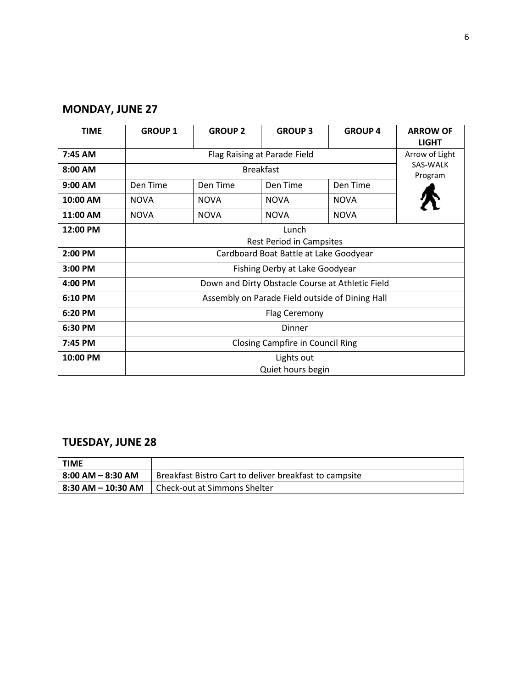# **MONDAY, JUNE 27**

| <b>TIME</b> | <b>GROUP 1</b>                                   | <b>GROUP 2</b>               | <b>GROUP 3</b>    | <b>GROUP 4</b>      | <b>ARROW OF</b><br><b>LIGHT</b> |
|-------------|--------------------------------------------------|------------------------------|-------------------|---------------------|---------------------------------|
| 7:45 AM     |                                                  | Flag Raising at Parade Field |                   |                     | Arrow of Light                  |
| 8:00 AM     | <b>Breakfast</b>                                 |                              |                   | SAS-WALK<br>Program |                                 |
| 9:00 AM     | Den Time                                         | Den Time                     | Den Time          | Den Time            |                                 |
| 10:00 AM    | <b>NOVA</b>                                      | <b>NOVA</b>                  | <b>NOVA</b>       | <b>NOVA</b>         |                                 |
| 11:00 AM    | <b>NOVA</b>                                      | <b>NOVA</b>                  | <b>NOVA</b>       | <b>NOVA</b>         |                                 |
| 12:00 PM    | Lunch<br><b>Rest Period in Campsites</b>         |                              |                   |                     |                                 |
| 2:00 PM     | Cardboard Boat Battle at Lake Goodyear           |                              |                   |                     |                                 |
| 3:00 PM     | Fishing Derby at Lake Goodyear                   |                              |                   |                     |                                 |
| 4:00 PM     | Down and Dirty Obstacle Course at Athletic Field |                              |                   |                     |                                 |
| 6:10 PM     | Assembly on Parade Field outside of Dining Hall  |                              |                   |                     |                                 |
| 6:20 PM     | <b>Flag Ceremony</b>                             |                              |                   |                     |                                 |
| 6:30 PM     | Dinner                                           |                              |                   |                     |                                 |
| 7:45 PM     | <b>Closing Campfire in Council Ring</b>          |                              |                   |                     |                                 |
| 10:00 PM    | Lights out                                       |                              |                   |                     |                                 |
|             |                                                  |                              | Quiet hours begin |                     |                                 |

# **TUESDAY, JUNE 28**

| <b>TIME</b>        |                                                        |
|--------------------|--------------------------------------------------------|
| 8:00 AM – 8:30 AM  | Breakfast Bistro Cart to deliver breakfast to campsite |
| 8:30 AM – 10:30 AM | l Check-out at Simmons Shelter                         |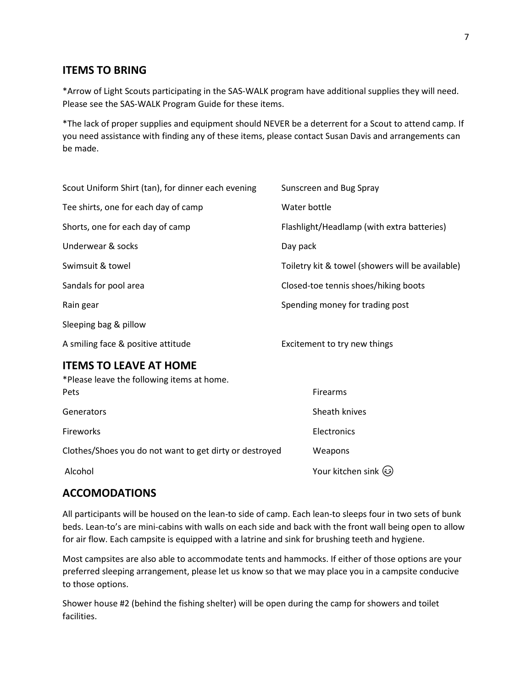## **ITEMS TO BRING**

\*Arrow of Light Scouts participating in the SAS-WALK program have additional supplies they will need. Please see the SAS-WALK Program Guide for these items.

\*The lack of proper supplies and equipment should NEVER be a deterrent for a Scout to attend camp. If you need assistance with finding any of these items, please contact Susan Davis and arrangements can be made.

| Scout Uniform Shirt (tan), for dinner each evening                          | Sunscreen and Bug Spray                          |
|-----------------------------------------------------------------------------|--------------------------------------------------|
| Tee shirts, one for each day of camp                                        | Water bottle                                     |
| Shorts, one for each day of camp                                            | Flashlight/Headlamp (with extra batteries)       |
| Underwear & socks                                                           | Day pack                                         |
| Swimsuit & towel                                                            | Toiletry kit & towel (showers will be available) |
| Sandals for pool area                                                       | Closed-toe tennis shoes/hiking boots             |
| Rain gear                                                                   | Spending money for trading post                  |
| Sleeping bag & pillow                                                       |                                                  |
| A smiling face & positive attitude                                          | Excitement to try new things                     |
| <b>ITEMS TO LEAVE AT HOME</b><br>*Please leave the following items at home. |                                                  |
| Pets                                                                        | Firearms                                         |
| Generators                                                                  | Sheath knives                                    |
| Fireworks                                                                   | Electronics                                      |

Clothes/Shoes you do not want to get dirty or destroyed Weapons

Alcohol Your kitchen sink  $\odot$ 

### **ACCOMODATIONS**

All participants will be housed on the lean-to side of camp. Each lean-to sleeps four in two sets of bunk beds. Lean-to's are mini-cabins with walls on each side and back with the front wall being open to allow for air flow. Each campsite is equipped with a latrine and sink for brushing teeth and hygiene.

Most campsites are also able to accommodate tents and hammocks. If either of those options are your preferred sleeping arrangement, please let us know so that we may place you in a campsite conducive to those options.

Shower house #2 (behind the fishing shelter) will be open during the camp for showers and toilet facilities.